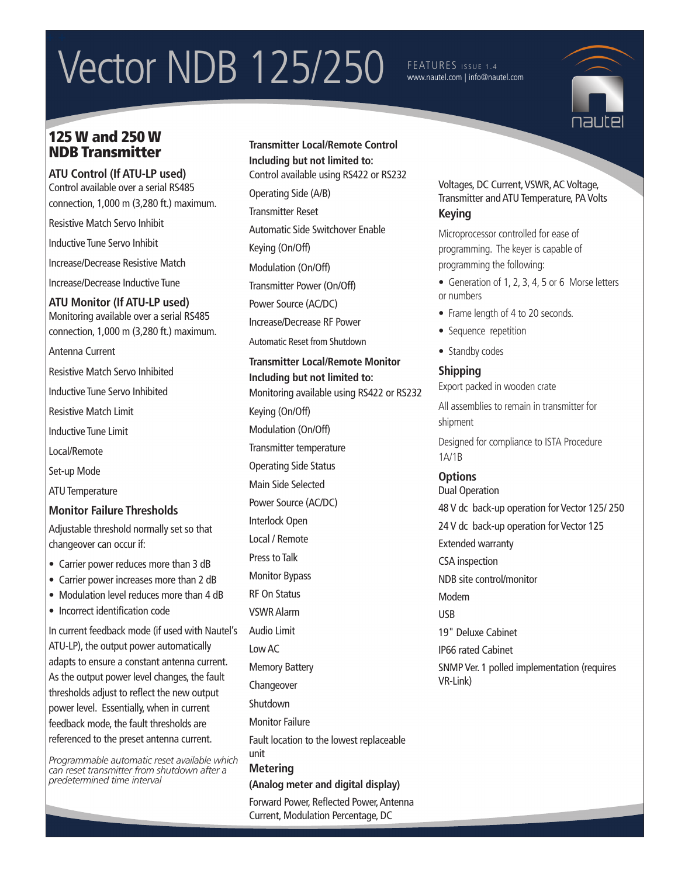# Vector NDB 125/250 FEATURES ISSUE 1.4

## www.nautel.com | info@nautel.com

## 125 W and 250 W NDB Transmitter

**ATU Control (If ATU-LP used)** Control available over a serial RS485 connection, 1,000 m (3,280 ft.) maximum.

Resistive Match Servo Inhibit

Inductive Tune Servo Inhibit

Increase/Decrease Resistive Match

Increase/Decrease Inductive Tune

**ATU Monitor (If ATU-LP used)** Monitoring available over a serial RS485 connection, 1,000 m (3,280 ft.) maximum.

Antenna Current

Resistive Match Servo Inhibited

Inductive Tune Servo Inhibited

Resistive Match Limit

Inductive Tune Limit

Local/Remote

Set-up Mode

ATU Temperature

#### **Monitor Failure Thresholds**

Adjustable threshold normally set so that changeover can occur if:

- Carrier power reduces more than 3 dB
- Carrier power increases more than 2 dB
- Modulation level reduces more than 4 dB
- Incorrect identification code

In current feedback mode (if used with Nautel's ATU-LP), the output power automatically adapts to ensure a constant antenna current. As the output power level changes, the fault thresholds adjust to reflect the new output power level. Essentially, when in current feedback mode, the fault thresholds are referenced to the preset antenna current.

*Programmable automatic reset available which can reset transmitter from shutdown after a predetermined time interval*

**Transmitter Local/Remote Control Including but not limited to:** Control available using RS422 or RS232 Operating Side (A/B) Transmitter Reset Automatic Side Switchover Enable Keying (On/Off) Modulation (On/Off) Transmitter Power (On/Off) Power Source (AC/DC) Increase/Decrease RF Power Automatic Reset from Shutdown **Transmitter Local/Remote Monitor Including but not limited to:** Monitoring available using RS422 or RS232 Keying (On/Off) Modulation (On/Off) Transmitter temperature Operating Side Status Main Side Selected Power Source (AC/DC) Interlock Open Local / Remote Press to Talk Monitor Bypass RF On Status VSWR Alarm Audio Limit Low AC Memory Battery Changeover Shutdown Monitor Failure Fault location to the lowest replaceable unit **Metering (Analog meter and digital display)**

Forward Power, Reflected Power, Antenna Current, Modulation Percentage, DC

#### Voltages, DC Current, VSWR, AC Voltage, Transmitter and ATU Temperature, PA Volts **Keying**

Microprocessor controlled for ease of programming. The keyer is capable of programming the following:

- Generation of 1, 2, 3, 4, 5 or 6 Morse letters or numbers
- Frame length of 4 to 20 seconds.
- Sequence repetition
- Standby codes

## **Shipping**

Export packed in wooden crate

All assemblies to remain in transmitter for shipment

Designed for compliance to ISTA Procedure 1A/1B

## **Options**

VR-Link)

Dual Operation 48 V dc back-up operation for Vector 125/ 250

24 V dc back-up operation for Vector 125 Extended warranty CSA inspection NDB site control/monitor Modem USB 19" Deluxe Cabinet IP66 rated Cabinet SNMP Ver. 1 polled implementation (requires

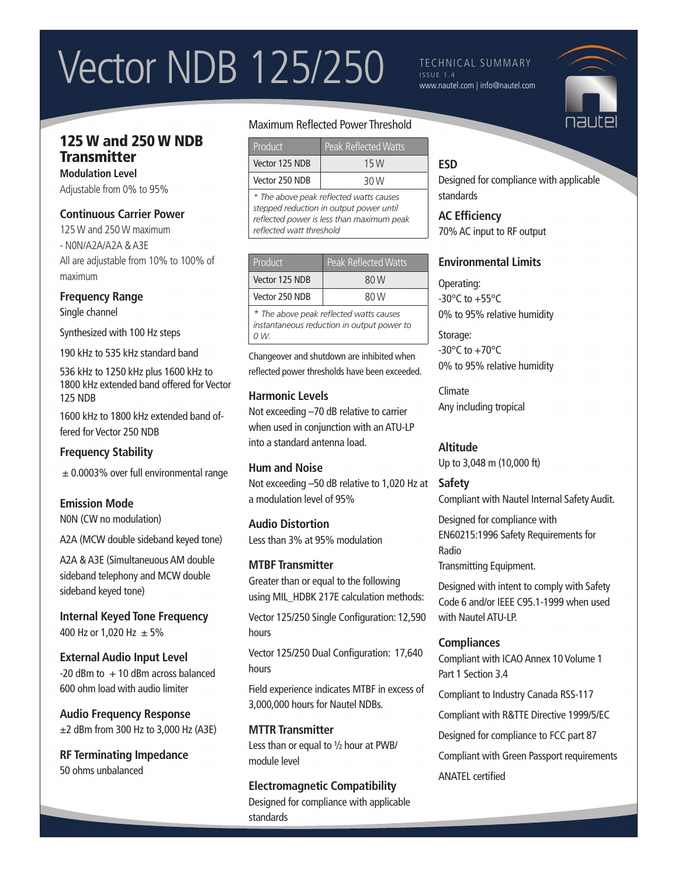## Vector NDB 125/250

#### TECHNICAL SUMMARY ISSUE 1.4 www.nautel.com | info@nautel.com



## 125 W and 250 W NDB **Transmitter**

**Modulation Level** Adjustable from 0% to 95%

### **Continuous Carrier Power**

125 W and 250 W maximum - N0N/A2A/A2A & A3E All are adjustable from 10% to 100% of maximum

#### **Frequency Range**

Single channel

Synthesized with 100 Hz steps

190 kHz to 535 kHz standard band

536 kHz to 1250 kHz plus 1600 kHz to 1800 kHz extended band offered for Vector 125 NDB

1600 kHz to 1800 kHz extended band offered for Vector 250 NDB

## **Frequency Stability**

 $\pm$  0.0003% over full environmental range

## **Emission Mode**

N0N (CW no modulation)

A2A (MCW double sideband keyed tone)

A2A & A3E (Simultaneuous AM double sideband telephony and MCW double sideband keyed tone)

**Internal Keyed Tone Frequency** 400 Hz or 1,020 Hz  $\pm$  5%

**External Audio Input Level**  $-20$  dBm to  $+10$  dBm across balanced 600 ohm load with audio limiter

**Audio Frequency Response** ±2 dBm from 300 Hz to 3,000 Hz (A3E)

**RF Terminating Impedance** 50 ohms unbalanced

## Maximum Reflected Power Threshold

| Product        | <b>Peak Reflected Watts</b> |
|----------------|-----------------------------|
| Vector 125 NDB | 15 W                        |
| Vector 250 NDB | 30 W                        |

*\* The above peak reflected watts causes stepped reduction in output power until reflected power is less than maximum peak reflected watt threshold*

| Product                                 | Peak Reflected Watts |
|-----------------------------------------|----------------------|
| Vector 125 NDB                          | 80 W                 |
| Vector 250 NDB                          | 80 W                 |
| * The above peak reflected watts causes |                      |

*instantaneous reduction in output power to 0 W.*

Changeover and shutdown are inhibited when reflected power thresholds have been exceeded.

## **Harmonic Levels**

Not exceeding –70 dB relative to carrier when used in conjunction with an ATU-LP into a standard antenna load.

#### **Hum and Noise**

Not exceeding –50 dB relative to 1,020 Hz at a modulation level of 95%

#### **Audio Distortion**

Less than 3% at 95% modulation

#### **MTBF Transmitter**

Greater than or equal to the following using MIL\_HDBK 217E calculation methods:

Vector 125/250 Single Configuration: 12,590 hours

Vector 125/250 Dual Configuration: 17,640 hours

Field experience indicates MTBF in excess of 3,000,000 hours for Nautel NDBs.

**MTTR Transmitter** Less than or equal to ½ hour at PWB/ module level

## **Electromagnetic Compatibility**

Designed for compliance with applicable standards

## **ESD**

Designed for compliance with applicable standards

**AC Efficiency**  70% AC input to RF output

## **Environmental Limits**

Operating:  $-30^{\circ}$ C to  $+55^{\circ}$ C 0% to 95% relative humidity

Storage:  $-30^{\circ}$ C to  $+70^{\circ}$ C 0% to 95% relative humidity

Climate Any including tropical

## **Altitude**

Up to 3,048 m (10,000 ft)

## **Safety**

Compliant with Nautel Internal Safety Audit.

Designed for compliance with EN60215:1996 Safety Requirements for Radio Transmitting Equipment.

Designed with intent to comply with Safety Code 6 and/or IEEE C95.1-1999 when used with Nautel ATU-LP.

## **Compliances**

Compliant with ICAO Annex 10 Volume 1 Part 1 Section 3.4

Compliant to Industry Canada RSS-117

Compliant with R&TTE Directive 1999/5/EC

Designed for compliance to FCC part 87

Compliant with Green Passport requirements

### ANATEL certified